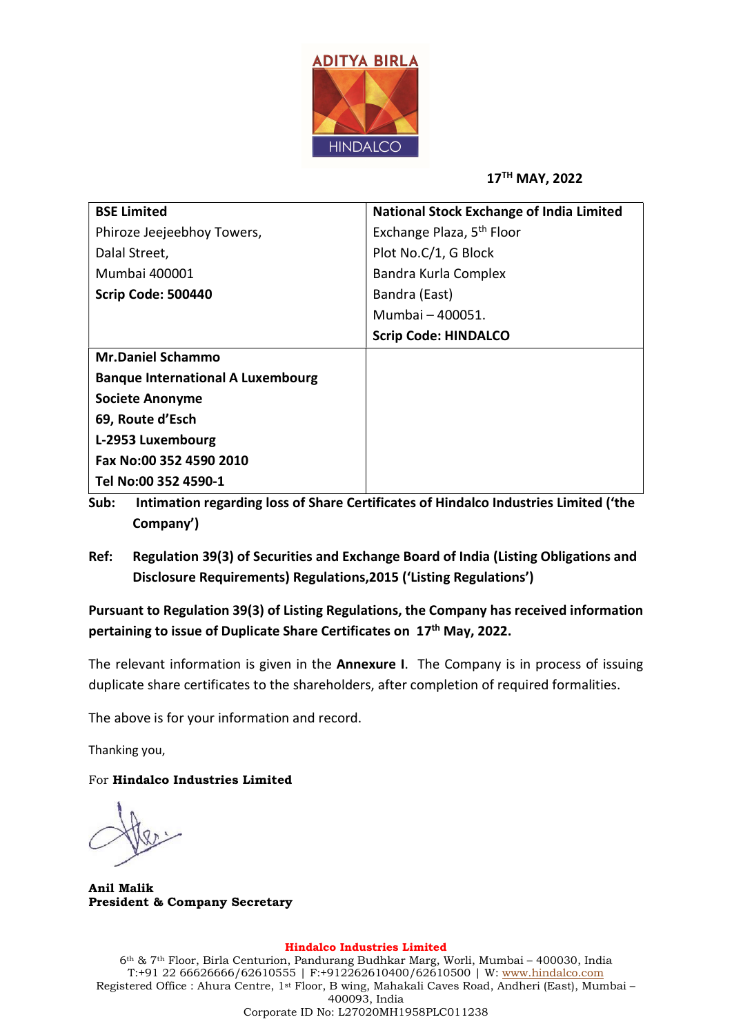

17TH MAY, 2022

| <b>BSE Limited</b>                       | <b>National Stock Exchange of India Limited</b> |  |  |
|------------------------------------------|-------------------------------------------------|--|--|
| Phiroze Jeejeebhoy Towers,               | Exchange Plaza, 5 <sup>th</sup> Floor           |  |  |
| Dalal Street,                            | Plot No.C/1, G Block                            |  |  |
| Mumbai 400001                            | Bandra Kurla Complex                            |  |  |
| Scrip Code: 500440                       | Bandra (East)                                   |  |  |
|                                          | Mumbai - 400051.                                |  |  |
|                                          | <b>Scrip Code: HINDALCO</b>                     |  |  |
| <b>Mr.Daniel Schammo</b>                 |                                                 |  |  |
| <b>Banque International A Luxembourg</b> |                                                 |  |  |
| <b>Societe Anonyme</b>                   |                                                 |  |  |
| 69, Route d'Esch                         |                                                 |  |  |
| L-2953 Luxembourg                        |                                                 |  |  |
| Fax No:00 352 4590 2010                  |                                                 |  |  |
| Tel No:00 352 4590-1                     |                                                 |  |  |

- Sub: Intimation regarding loss of Share Certificates of Hindalco Industries Limited ('the Company')
- Ref: Regulation 39(3) of Securities and Exchange Board of India (Listing Obligations and Disclosure Requirements) Regulations,2015 ('Listing Regulations')

Pursuant to Regulation 39(3) of Listing Regulations, the Company has received information pertaining to issue of Duplicate Share Certificates on 17<sup>th</sup> May, 2022.

The relevant information is given in the **Annexure I**. The Company is in process of issuing duplicate share certificates to the shareholders, after completion of required formalities.

The above is for your information and record.

Thanking you,

For Hindalco Industries Limited

Anil Malik President & Company Secretary

## Hindalco Industries Limited

6th & 7th Floor, Birla Centurion, Pandurang Budhkar Marg, Worli, Mumbai – 400030, India T:+91 22 66626666/62610555 | F:+912262610400/62610500 | W: www.hindalco.com Registered Office : Ahura Centre, 1st Floor, B wing, Mahakali Caves Road, Andheri (East), Mumbai – 400093, India Corporate ID No: L27020MH1958PLC011238